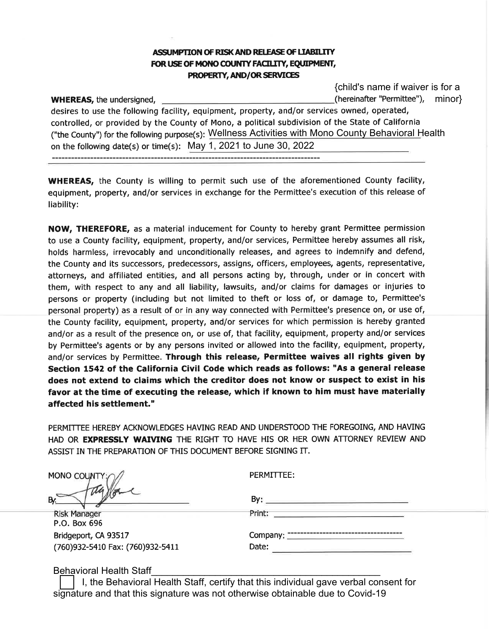## ASSUMPTION OF RISK AND RELEASE OF LIABILITY FOR USE OF MONO COUNTY FACILITY, EQUIPMENT, PROPERTY, AND/OR SERVICES

{child's name if waiver is for a (hereinafter "Permittee"), minor}

**WHEREAS, the undersigned,** desires to use the following facility, equipment, property, and/or services owned, operated, controlled, or provided by the County of Mono, a political subdivision of the State of California ("the County") for the following purpose(s): Wellness Activities with Mono County Behavioral Health on the following date(s) or time(s): May 1, 2021 to June 30, 2022

------------------------------------------------------------------------------------

liability:

May 1, 2021 to June 30, 2022<br>
International County for the aforementioned County fails in exchange for the Permittee's execution of this relevel<br>
inducement for County to hereby grant Permittee perm<br>
property, and/or servi affected his settlement."

| MONO COUNTY |  |
|-------------|--|
|             |  |

| <b>Risk Manager</b>              |
|----------------------------------|
| P.O. Box 696                     |
| Bridgeport, CA 93517             |
| (760)932-5410 Fax: (760)932-5411 |

| By                |  |  |
|-------------------|--|--|
| Print:            |  |  |
| Company:<br>Date: |  |  |

Behavioral Health Staff

I, the Behavioral Health Staff, certify that this individual gave verbal consent for signature and that this signature was not otherwise obtainable due to Covid-19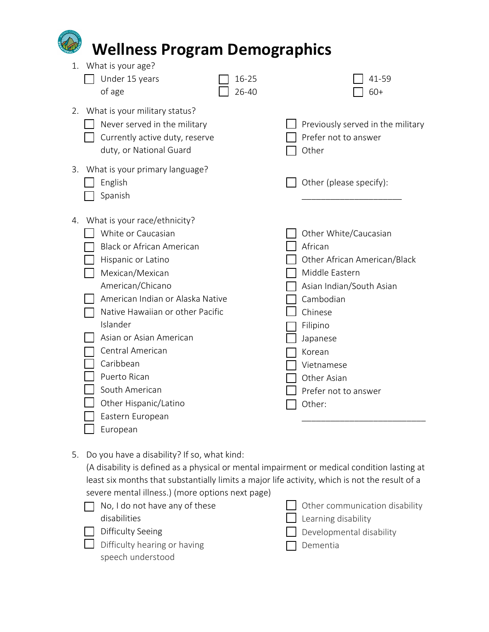| <b>Wellness Program Demographics</b>                                                                                                                                                                                                                                                                                                                                                                 |                |                                                                                                                                                                                                                                         |  |
|------------------------------------------------------------------------------------------------------------------------------------------------------------------------------------------------------------------------------------------------------------------------------------------------------------------------------------------------------------------------------------------------------|----------------|-----------------------------------------------------------------------------------------------------------------------------------------------------------------------------------------------------------------------------------------|--|
| What is your age?<br>1.<br>Under 15 years<br>of age                                                                                                                                                                                                                                                                                                                                                  | 16-25<br>26-40 | 41-59<br>$60+$                                                                                                                                                                                                                          |  |
| 2. What is your military status?<br>Never served in the military<br>Currently active duty, reserve<br>duty, or National Guard                                                                                                                                                                                                                                                                        |                | Previously served in the military<br>Prefer not to answer<br>Other                                                                                                                                                                      |  |
| 3. What is your primary language?<br>English<br>Spanish                                                                                                                                                                                                                                                                                                                                              |                | Other (please specify):                                                                                                                                                                                                                 |  |
| What is your race/ethnicity?<br>4.<br>White or Caucasian<br><b>Black or African American</b><br>Hispanic or Latino<br>Mexican/Mexican<br>American/Chicano<br>American Indian or Alaska Native<br>Native Hawaiian or other Pacific<br>Islander<br>Asian or Asian American<br>Central American<br>Caribbean<br>Puerto Rican<br>South American<br>Other Hispanic/Latino<br>Eastern European<br>European |                | Other White/Caucasian<br>African<br>Other African American/Black<br>Middle Eastern<br>Asian Indian/South Asian<br>Cambodian<br>Chinese<br>Filipino<br>Japanese<br>Korean<br>Vietnamese<br>Other Asian<br>Prefer not to answer<br>Other: |  |

5. Do you have a disability? If so, what kind:

(A disability is defined as a physical or mental impairment or medical condition lasting at least six months that substantially limits a major life activity, which is not the result of a severe mental illness.) (more options next page)

| $\Box$ No, I do not have any of these | $\Box$ Other communication disability |
|---------------------------------------|---------------------------------------|
| disabilities                          | $\Box$ Learning disability            |
| $\Box$ Difficulty Seeing              | $\Box$ Developmental disability       |
| $\Box$ Difficulty hearing or having   | $\Box$ Dementia                       |
| speech understood                     |                                       |